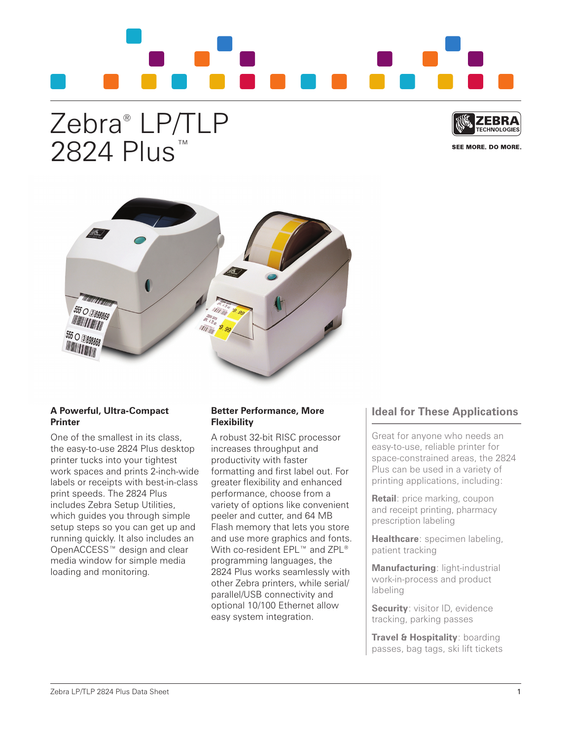

## Zebra® LP/TLP 2824 Plus<sup>™</sup>



SEE MORE. DO MORE.



## **A Powerful, Ultra-Compact Printer**

One of the smallest in its class, the easy-to-use 2824 Plus desktop printer tucks into your tightest work spaces and prints 2-inch-wide labels or receipts with best-in-class print speeds. The 2824 Plus includes Zebra Setup Utilities, which guides you through simple setup steps so you can get up and running quickly. It also includes an OpenACCESS™ design and clear media window for simple media loading and monitoring.

## **Better Performance, More Flexibility**

A robust 32-bit RISC processor increases throughput and productivity with faster formatting and first label out. For greater flexibility and enhanced performance, choose from a variety of options like convenient peeler and cutter, and 64 MB Flash memory that lets you store and use more graphics and fonts. With co-resident EPL™ and ZPL® programming languages, the 2824 Plus works seamlessly with other Zebra printers, while serial/ parallel/USB connectivity and optional 10/100 Ethernet allow easy system integration.

## **Ideal for These Applications**

Great for anyone who needs an easy-to-use, reliable printer for space-constrained areas, the 2824 Plus can be used in a variety of printing applications, including:

**Retail:** price marking, coupon and receipt printing, pharmacy prescription labeling

**Healthcare**: specimen labeling, patient tracking

**Manufacturing**: light-industrial work-in-process and product labeling

**Security:** visitor ID, evidence tracking, parking passes

**Travel & Hospitality**: boarding passes, bag tags, ski lift tickets